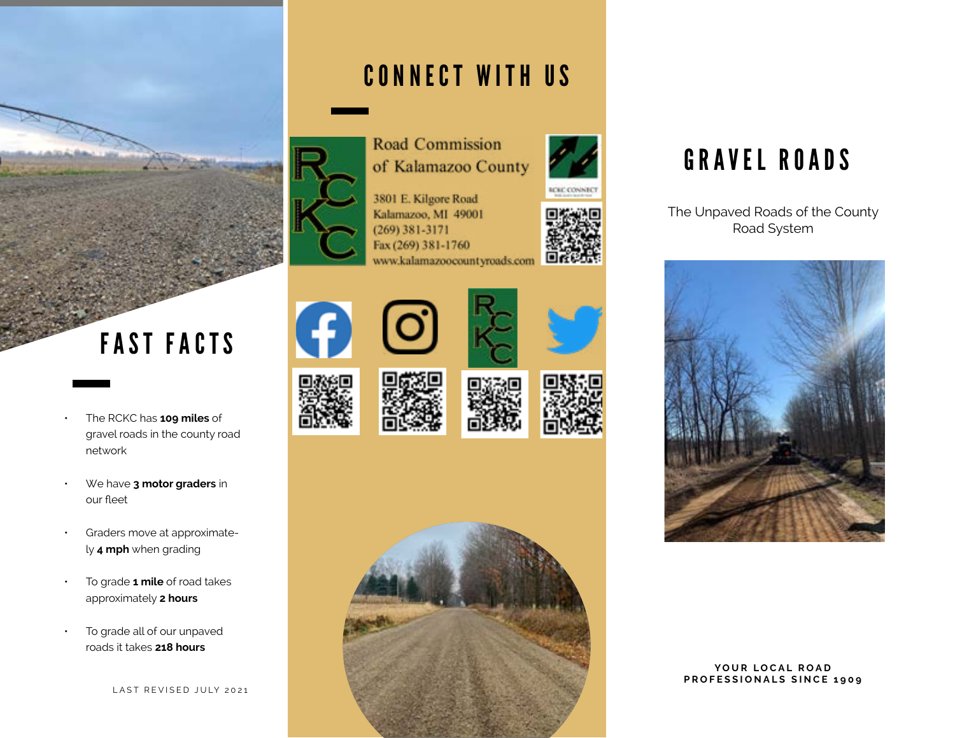

### CONNECT WITH US



of Kalamazoo County



3801 E. Kilgore Road Kalamazoo, MI 49001  $(269)$  381-3171 Fax (269) 381-1760 www.kalamazoocountyroads.com



# FAST FACTS

- The RCKC has **109 miles** of gravel roads in the county road network
- We have **3 motor graders** in our fleet
- Graders move at approximately **4 mph** when grading
- To grade **1 mile** of road takes approximately **2 hours**
- To grade all of our unpaved roads it takes **218 hours**













## GRAVEL ROADS

The Unpaved Roads of the County Road System



### YOUR LOCAL ROAD **PROFESSIONALS SINCE 1909**